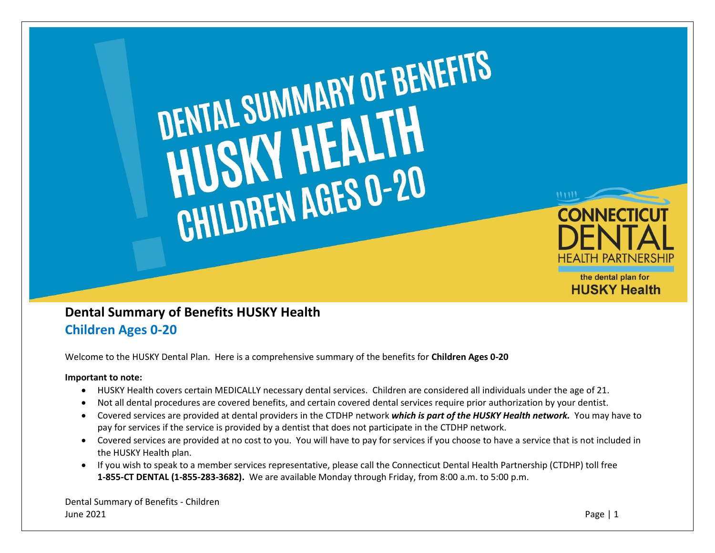

## **Dental Summary of Benefits HUSKY Health Children Ages 0-20**

Welcome to the HUSKY Dental Plan. Here is a comprehensive summary of the benefits for **Children Ages 0-20**

## **Important to note:**

- HUSKY Health covers certain MEDICALLY necessary dental services. Children are considered all individuals under the age of 21.
- Not all dental procedures are covered benefits, and certain covered dental services require prior authorization by your dentist.
- Covered services are provided at dental providers in the CTDHP network *which is part of the HUSKY Health network.* You may have to pay for services if the service is provided by a dentist that does not participate in the CTDHP network.
- Covered services are provided at no cost to you. You will have to pay for services if you choose to have a service that is not included in the HUSKY Health plan.
- If you wish to speak to a member services representative, please call the Connecticut Dental Health Partnership (CTDHP) toll free **1-855-CT DENTAL (1-855-283-3682).** We are available Monday through Friday, from 8:00 a.m. to 5:00 p.m.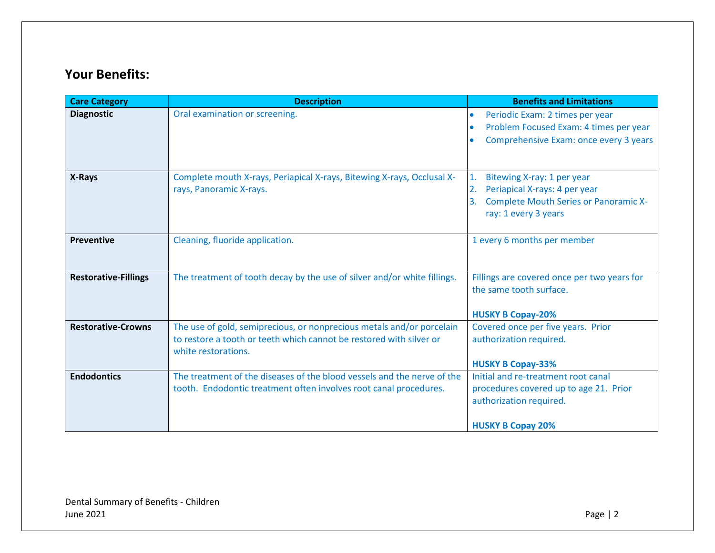## **Your Benefits:**

| <b>Care Category</b>        | <b>Description</b>                                                                                | <b>Benefits and Limitations</b>                                                                                                  |
|-----------------------------|---------------------------------------------------------------------------------------------------|----------------------------------------------------------------------------------------------------------------------------------|
| <b>Diagnostic</b>           | Oral examination or screening.                                                                    | Periodic Exam: 2 times per year<br>$\bullet$<br>Problem Focused Exam: 4 times per year<br>Comprehensive Exam: once every 3 years |
|                             |                                                                                                   |                                                                                                                                  |
| X-Rays                      | Complete mouth X-rays, Periapical X-rays, Bitewing X-rays, Occlusal X-<br>rays, Panoramic X-rays. | Bitewing X-ray: 1 per year<br>1.<br>Periapical X-rays: 4 per year<br>2.                                                          |
|                             |                                                                                                   | <b>Complete Mouth Series or Panoramic X-</b><br>3.<br>ray: 1 every 3 years                                                       |
| <b>Preventive</b>           | Cleaning, fluoride application.                                                                   | 1 every 6 months per member                                                                                                      |
| <b>Restorative-Fillings</b> | The treatment of tooth decay by the use of silver and/or white fillings.                          | Fillings are covered once per two years for<br>the same tooth surface.                                                           |
|                             |                                                                                                   | <b>HUSKY B Copay-20%</b>                                                                                                         |
| <b>Restorative-Crowns</b>   | The use of gold, semiprecious, or nonprecious metals and/or porcelain                             | Covered once per five years. Prior                                                                                               |
|                             | to restore a tooth or teeth which cannot be restored with silver or<br>white restorations.        | authorization required.                                                                                                          |
|                             |                                                                                                   | <b>HUSKY B Copay-33%</b>                                                                                                         |
| <b>Endodontics</b>          | The treatment of the diseases of the blood vessels and the nerve of the                           | Initial and re-treatment root canal                                                                                              |
|                             | tooth. Endodontic treatment often involves root canal procedures.                                 | procedures covered up to age 21. Prior                                                                                           |
|                             |                                                                                                   | authorization required.                                                                                                          |
|                             |                                                                                                   | <b>HUSKY B Copay 20%</b>                                                                                                         |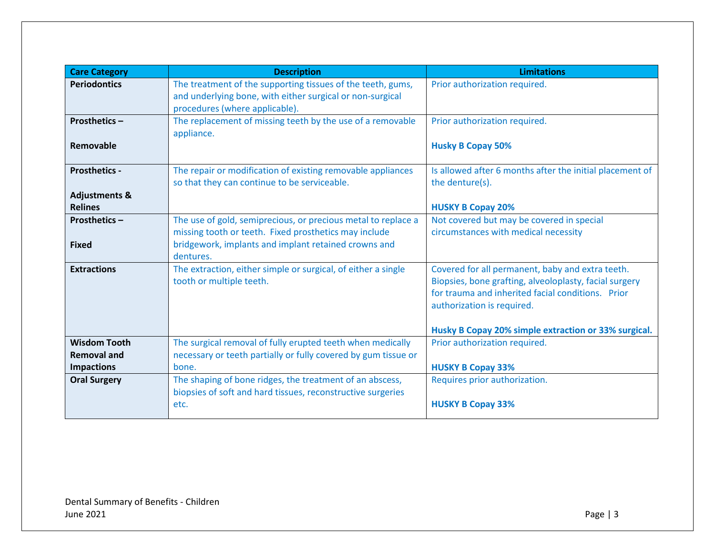| <b>Care Category</b>                       | <b>Description</b>                                                                                                                                         | <b>Limitations</b>                                                                                                                                                                            |
|--------------------------------------------|------------------------------------------------------------------------------------------------------------------------------------------------------------|-----------------------------------------------------------------------------------------------------------------------------------------------------------------------------------------------|
| <b>Periodontics</b>                        | The treatment of the supporting tissues of the teeth, gums,<br>and underlying bone, with either surgical or non-surgical<br>procedures (where applicable). | Prior authorization required.                                                                                                                                                                 |
| <b>Prosthetics -</b>                       | The replacement of missing teeth by the use of a removable<br>appliance.                                                                                   | Prior authorization required.                                                                                                                                                                 |
| Removable                                  |                                                                                                                                                            | <b>Husky B Copay 50%</b>                                                                                                                                                                      |
| <b>Prosthetics -</b>                       | The repair or modification of existing removable appliances<br>so that they can continue to be serviceable.                                                | Is allowed after 6 months after the initial placement of<br>the denture(s).                                                                                                                   |
| <b>Adjustments &amp;</b><br><b>Relines</b> |                                                                                                                                                            | <b>HUSKY B Copay 20%</b>                                                                                                                                                                      |
| <b>Prosthetics -</b>                       | The use of gold, semiprecious, or precious metal to replace a<br>missing tooth or teeth. Fixed prosthetics may include                                     | Not covered but may be covered in special<br>circumstances with medical necessity                                                                                                             |
| <b>Fixed</b>                               | bridgework, implants and implant retained crowns and<br>dentures.                                                                                          |                                                                                                                                                                                               |
| <b>Extractions</b>                         | The extraction, either simple or surgical, of either a single<br>tooth or multiple teeth.                                                                  | Covered for all permanent, baby and extra teeth.<br>Biopsies, bone grafting, alveoloplasty, facial surgery<br>for trauma and inherited facial conditions. Prior<br>authorization is required. |
|                                            |                                                                                                                                                            | Husky B Copay 20% simple extraction or 33% surgical.                                                                                                                                          |
| <b>Wisdom Tooth</b><br><b>Removal and</b>  | The surgical removal of fully erupted teeth when medically<br>necessary or teeth partially or fully covered by gum tissue or                               | Prior authorization required.                                                                                                                                                                 |
| <b>Impactions</b>                          | bone.                                                                                                                                                      | <b>HUSKY B Copay 33%</b>                                                                                                                                                                      |
| <b>Oral Surgery</b>                        | The shaping of bone ridges, the treatment of an abscess,<br>biopsies of soft and hard tissues, reconstructive surgeries                                    | Requires prior authorization.                                                                                                                                                                 |
|                                            | etc.                                                                                                                                                       | <b>HUSKY B Copay 33%</b>                                                                                                                                                                      |